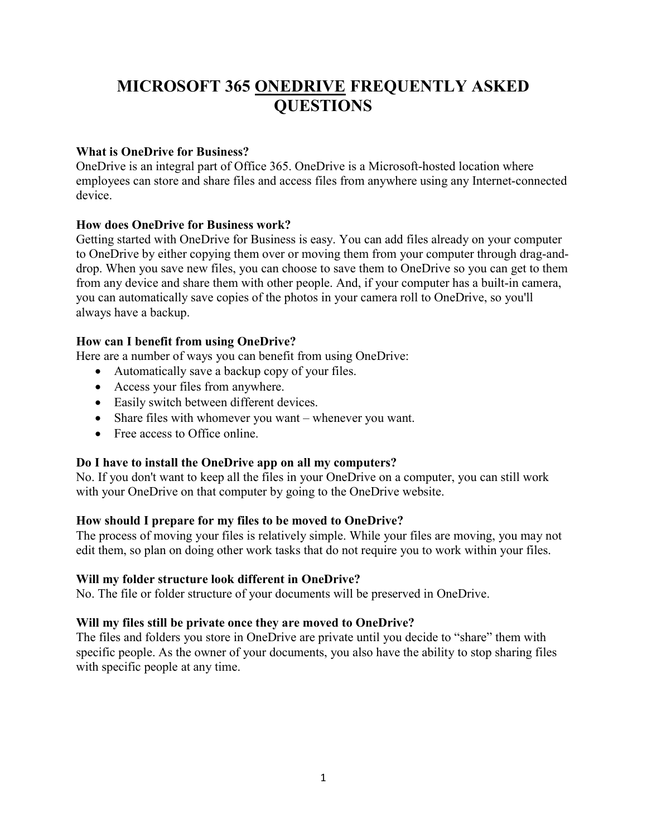# MICROSOFT 365 ONEDRIVE FREQUENTLY ASKED **OUESTIONS**

# What is OneDrive for Business?

OneDrive is an integral part of Office 365. OneDrive is a Microsoft-hosted location where employees can store and share files and access files from anywhere using any Internet-connected device.

## How does OneDrive for Business work?

Getting started with OneDrive for Business is easy. You can add files already on your computer to OneDrive by either copying them over or moving them from your computer through drag-anddrop. When you save new files, you can choose to save them to OneDrive so you can get to them from any device and share them with other people. And, if your computer has a built-in camera, you can automatically save copies of the photos in your camera roll to OneDrive, so you'll always have a backup.

## How can I benefit from using OneDrive?

Here are a number of ways you can benefit from using OneDrive:

- Automatically save a backup copy of your files.
- Access your files from anywhere.
- Easily switch between different devices.
- Share files with whomever you want whenever you want.
- Free access to Office online.

# Do I have to install the OneDrive app on all my computers?

No. If you don't want to keep all the files in your OneDrive on a computer, you can still work with your OneDrive on that computer by going to the OneDrive website.

# How should I prepare for my files to be moved to OneDrive?

The process of moving your files is relatively simple. While your files are moving, you may not edit them, so plan on doing other work tasks that do not require you to work within your files.

## Will my folder structure look different in OneDrive?

No. The file or folder structure of your documents will be preserved in OneDrive.

## Will my files still be private once they are moved to OneDrive?

The files and folders you store in OneDrive are private until you decide to "share" them with specific people. As the owner of your documents, you also have the ability to stop sharing files with specific people at any time.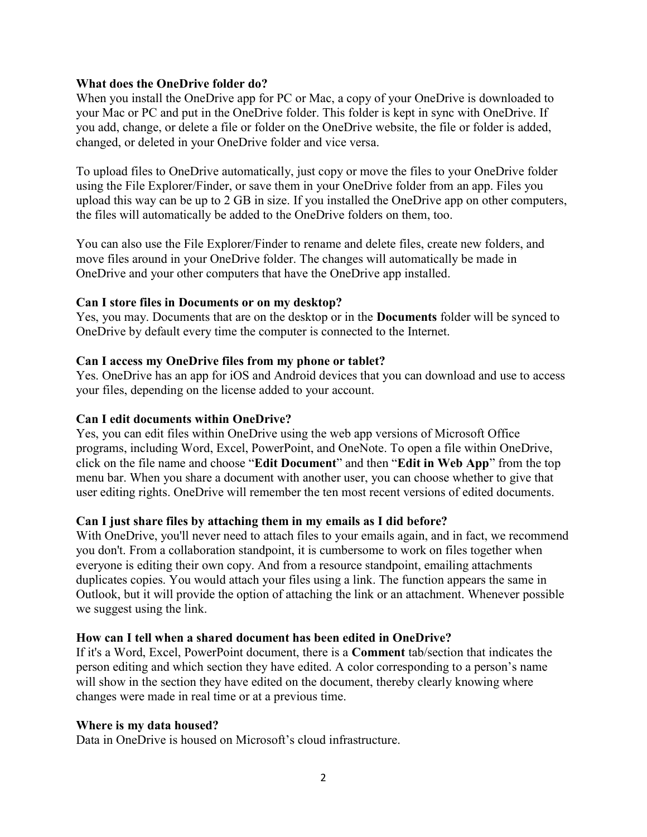## What does the OneDrive folder do?

When you install the OneDrive app for PC or Mac, a copy of your OneDrive is downloaded to your Mac or PC and put in the OneDrive folder. This folder is kept in sync with OneDrive. If you add, change, or delete a file or folder on the OneDrive website, the file or folder is added, changed, or deleted in your OneDrive folder and vice versa.

To upload files to OneDrive automatically, just copy or move the files to your OneDrive folder using the File Explorer/Finder, or save them in your OneDrive folder from an app. Files you upload this way can be up to 2 GB in size. If you installed the OneDrive app on other computers, the files will automatically be added to the OneDrive folders on them, too.

You can also use the File Explorer/Finder to rename and delete files, create new folders, and move files around in your OneDrive folder. The changes will automatically be made in OneDrive and your other computers that have the OneDrive app installed.

## Can I store files in Documents or on my desktop?

Yes, you may. Documents that are on the desktop or in the Documents folder will be synced to OneDrive by default every time the computer is connected to the Internet.

## Can I access my OneDrive files from my phone or tablet?

Yes. OneDrive has an app for iOS and Android devices that you can download and use to access your files, depending on the license added to your account.

## Can I edit documents within OneDrive?

Yes, you can edit files within OneDrive using the web app versions of Microsoft Office programs, including Word, Excel, PowerPoint, and OneNote. To open a file within OneDrive, click on the file name and choose "Edit Document" and then "Edit in Web App" from the top menu bar. When you share a document with another user, you can choose whether to give that user editing rights. OneDrive will remember the ten most recent versions of edited documents.

## Can I just share files by attaching them in my emails as I did before?

With OneDrive, you'll never need to attach files to your emails again, and in fact, we recommend you don't. From a collaboration standpoint, it is cumbersome to work on files together when everyone is editing their own copy. And from a resource standpoint, emailing attachments duplicates copies. You would attach your files using a link. The function appears the same in Outlook, but it will provide the option of attaching the link or an attachment. Whenever possible we suggest using the link.

## How can I tell when a shared document has been edited in OneDrive?

If it's a Word, Excel, PowerPoint document, there is a Comment tab/section that indicates the person editing and which section they have edited. A color corresponding to a person's name will show in the section they have edited on the document, thereby clearly knowing where changes were made in real time or at a previous time.

## Where is my data housed?

Data in OneDrive is housed on Microsoft's cloud infrastructure.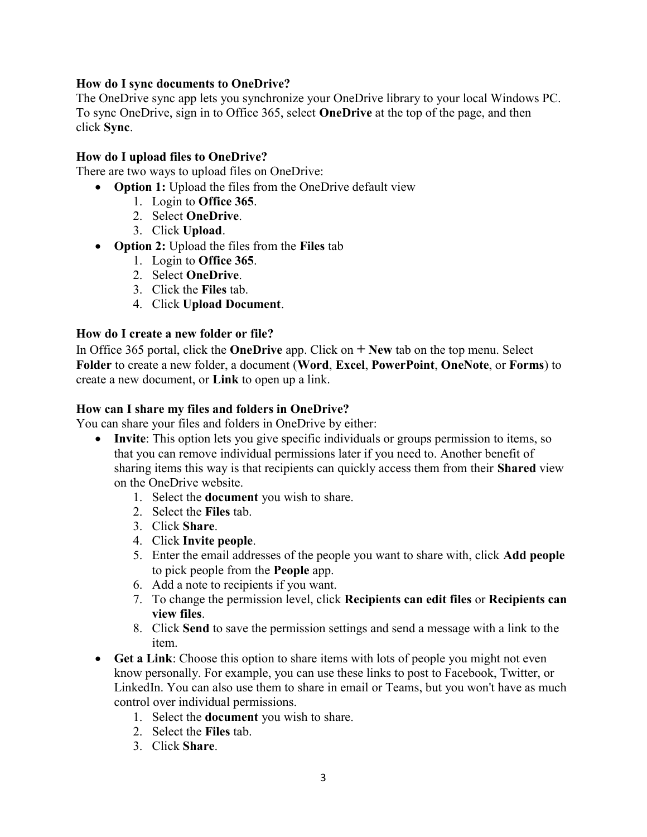## How do I sync documents to OneDrive?

The OneDrive sync app lets you synchronize your OneDrive library to your local Windows PC. To sync OneDrive, sign in to Office 365, select OneDrive at the top of the page, and then click Sync.

## How do I upload files to OneDrive?

There are two ways to upload files on OneDrive:

• Option 1: Upload the files from the OneDrive default view

- 1. Login to Office 365.
- 2. Select OneDrive.
- 3. Click Upload.
- Option 2: Upload the files from the Files tab
	- 1. Login to Office 365.
	- 2. Select OneDrive.
	- 3. Click the Files tab.
	- 4. Click Upload Document.

## How do I create a new folder or file?

In Office 365 portal, click the **OneDrive** app. Click on  $+$  **New** tab on the top menu. Select Folder to create a new folder, a document (Word, Excel, PowerPoint, OneNote, or Forms) to create a new document, or Link to open up a link.

## How can I share my files and folders in OneDrive?

You can share your files and folders in OneDrive by either:

- Invite: This option lets you give specific individuals or groups permission to items, so that you can remove individual permissions later if you need to. Another benefit of sharing items this way is that recipients can quickly access them from their **Shared** view on the OneDrive website.
	- 1. Select the document you wish to share.
	- 2. Select the Files tab.
	- 3. Click Share.
	- 4. Click Invite people.
	- 5. Enter the email addresses of the people you want to share with, click Add people to pick people from the People app.
	- 6. Add a note to recipients if you want.
	- 7. To change the permission level, click Recipients can edit files or Recipients can view files.
	- 8. Click Send to save the permission settings and send a message with a link to the item.
- Get a Link: Choose this option to share items with lots of people you might not even know personally. For example, you can use these links to post to Facebook, Twitter, or LinkedIn. You can also use them to share in email or Teams, but you won't have as much control over individual permissions.
	- 1. Select the document you wish to share.
	- 2. Select the Files tab.
	- 3. Click Share.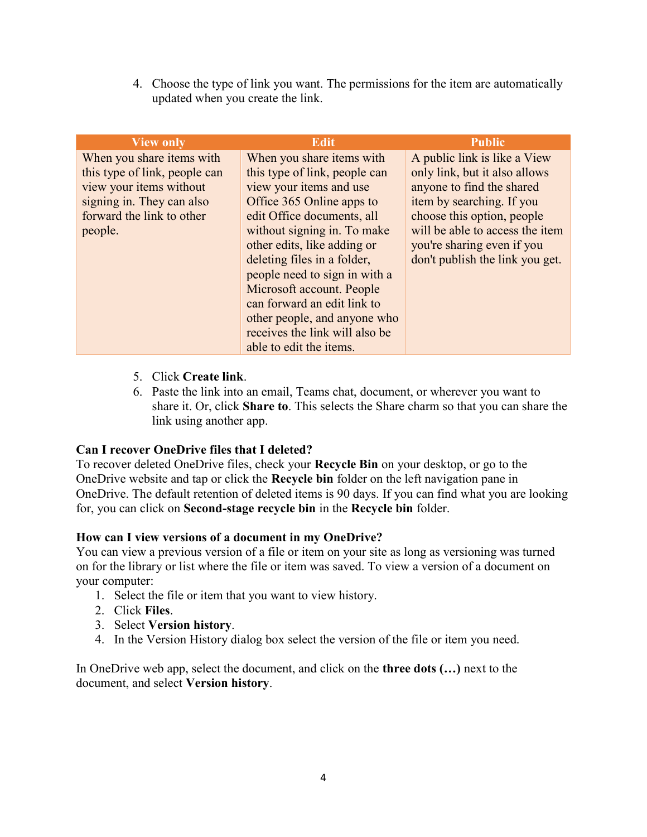4. Choose the type of link you want. The permissions for the item are automatically updated when you create the link.

| <b>View only</b>              | <b>Edit</b>                    | <b>Public</b>                   |
|-------------------------------|--------------------------------|---------------------------------|
| When you share items with     | When you share items with      | A public link is like a View    |
| this type of link, people can | this type of link, people can  | only link, but it also allows   |
| view your items without       | view your items and use        | anyone to find the shared       |
| signing in. They can also     | Office 365 Online apps to      | item by searching. If you       |
| forward the link to other     | edit Office documents, all     | choose this option, people      |
| people.                       | without signing in. To make    | will be able to access the item |
|                               | other edits, like adding or    | you're sharing even if you      |
|                               | deleting files in a folder,    | don't publish the link you get. |
|                               | people need to sign in with a  |                                 |
|                               | Microsoft account. People      |                                 |
|                               | can forward an edit link to    |                                 |
|                               | other people, and anyone who   |                                 |
|                               | receives the link will also be |                                 |
|                               | able to edit the items.        |                                 |

- 5. Click Create link.
- 6. Paste the link into an email, Teams chat, document, or wherever you want to share it. Or, click Share to. This selects the Share charm so that you can share the link using another app.

## Can I recover OneDrive files that I deleted?

To recover deleted OneDrive files, check your Recycle Bin on your desktop, or go to the OneDrive website and tap or click the Recycle bin folder on the left navigation pane in OneDrive. The default retention of deleted items is 90 days. If you can find what you are looking for, you can click on Second-stage recycle bin in the Recycle bin folder.

## How can I view versions of a document in my OneDrive?

You can view a previous version of a file or item on your site as long as versioning was turned on for the library or list where the file or item was saved. To view a version of a document on your computer:

- 1. Select the file or item that you want to view history.
- 2. Click Files.
- 3. Select Version history.
- 4. In the Version History dialog box select the version of the file or item you need.

In OneDrive web app, select the document, and click on the three dots (…) next to the document, and select Version history.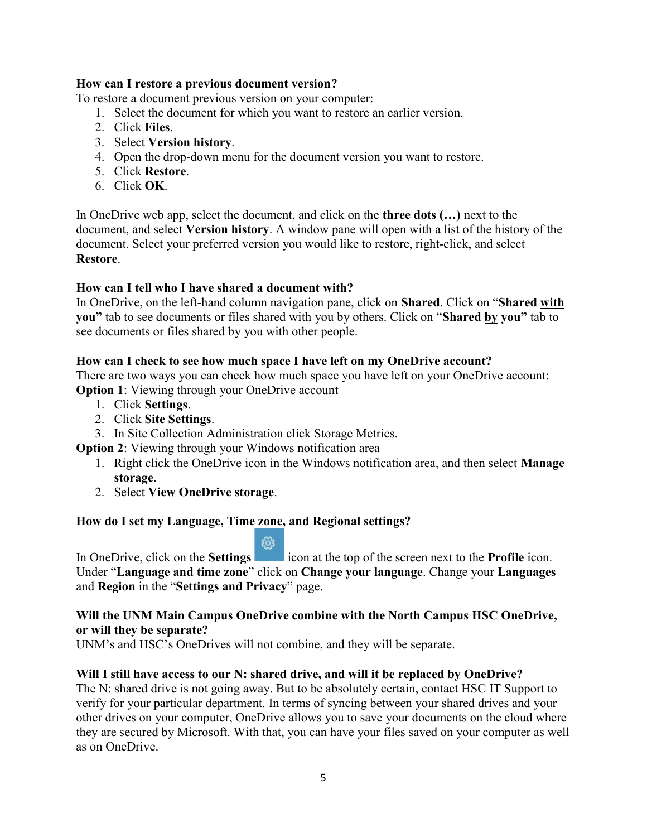## How can I restore a previous document version?

To restore a document previous version on your computer:

- 1. Select the document for which you want to restore an earlier version.
- 2. Click Files.
- 3. Select Version history.
- 4. Open the drop-down menu for the document version you want to restore.
- 5. Click Restore.
- 6. Click OK.

In OneDrive web app, select the document, and click on the **three dots (...)** next to the document, and select Version history. A window pane will open with a list of the history of the document. Select your preferred version you would like to restore, right-click, and select Restore.

## How can I tell who I have shared a document with?

In OneDrive, on the left-hand column navigation pane, click on Shared. Click on "Shared with you" tab to see documents or files shared with you by others. Click on "Shared by you" tab to see documents or files shared by you with other people.

## How can I check to see how much space I have left on my OneDrive account?

There are two ways you can check how much space you have left on your OneDrive account: **Option 1:** Viewing through your OneDrive account

- 1. Click Settings.
- 2. Click Site Settings.
- 3. In Site Collection Administration click Storage Metrics.
- **Option 2:** Viewing through your Windows notification area
	- 1. Right click the OneDrive icon in the Windows notification area, and then select Manage storage.
	- 2. Select View OneDrive storage.

## How do I set my Language, Time zone, and Regional settings?

छि In OneDrive, click on the **Settings** icon at the top of the screen next to the **Profile** icon. Under "Language and time zone" click on Change your language. Change your Languages and Region in the "Settings and Privacy" page.

## Will the UNM Main Campus OneDrive combine with the North Campus HSC OneDrive, or will they be separate?

UNM's and HSC's OneDrives will not combine, and they will be separate.

## Will I still have access to our N: shared drive, and will it be replaced by OneDrive?

The N: shared drive is not going away. But to be absolutely certain, contact HSC IT Support to verify for your particular department. In terms of syncing between your shared drives and your other drives on your computer, OneDrive allows you to save your documents on the cloud where they are secured by Microsoft. With that, you can have your files saved on your computer as well as on OneDrive.